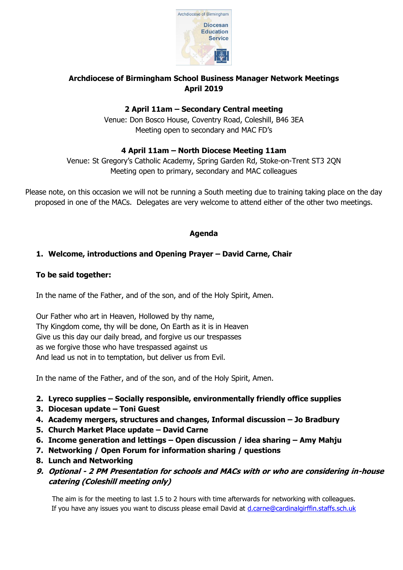

# **Archdiocese of Birmingham School Business Manager Network Meetings April 2019**

# **2 April 11am – Secondary Central meeting**

Venue: Don Bosco House, Coventry Road, Coleshill, B46 3EA Meeting open to secondary and MAC FD's

## **4 April 11am – North Diocese Meeting 11am**

Venue: St Gregory's Catholic Academy, Spring Garden Rd, Stoke-on-Trent ST3 2QN Meeting open to primary, secondary and MAC colleagues

Please note, on this occasion we will not be running a South meeting due to training taking place on the day proposed in one of the MACs. Delegates are very welcome to attend either of the other two meetings.

### **Agenda**

## **1. Welcome, introductions and Opening Prayer – David Carne, Chair**

### **To be said together:**

In the name of the Father, and of the son, and of the Holy Spirit, Amen.

Our Father who art in Heaven, Hollowed by thy name, Thy Kingdom come, thy will be done, On Earth as it is in Heaven Give us this day our daily bread, and forgive us our trespasses as we forgive those who have trespassed against us And lead us not in to temptation, but deliver us from Evil.

In the name of the Father, and of the son, and of the Holy Spirit, Amen.

- **2. Lyreco supplies – Socially responsible, environmentally friendly office supplies**
- **3. Diocesan update – Toni Guest**
- **4. Academy mergers, structures and changes, Informal discussion – Jo Bradbury**
- **5. Church Market Place update – David Carne**
- **6. Income generation and lettings – Open discussion / idea sharing – Amy Mahju**
- **7. Networking / Open Forum for information sharing / questions**
- **8. Lunch and Networking**
- **9. Optional - 2 PM Presentation for schools and MACs with or who are considering in-house catering (Coleshill meeting only)**

The aim is for the meeting to last 1.5 to 2 hours with time afterwards for networking with colleagues. If you have any issues you want to discuss please email David at [d.carne@cardinalgirffin.staffs.sch.uk](mailto:d.carne@cardinalgirffin.staffs.sch.uk)